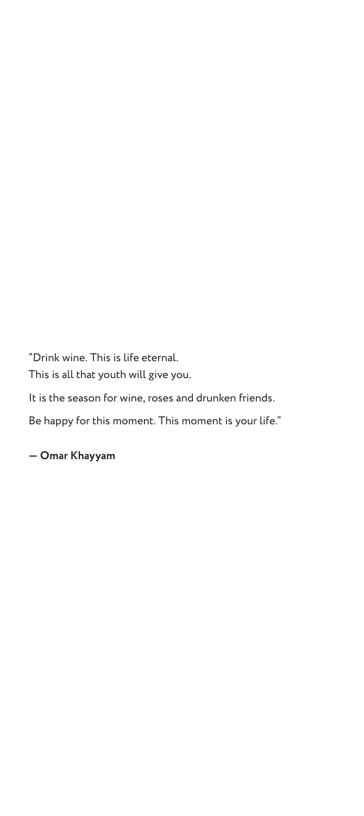"Drink wine. This is life eternal. This is all that youth will give you.

It is the season for wine, roses and drunken friends.

Be happy for this moment. This moment is your life."

**― Omar Khayyam**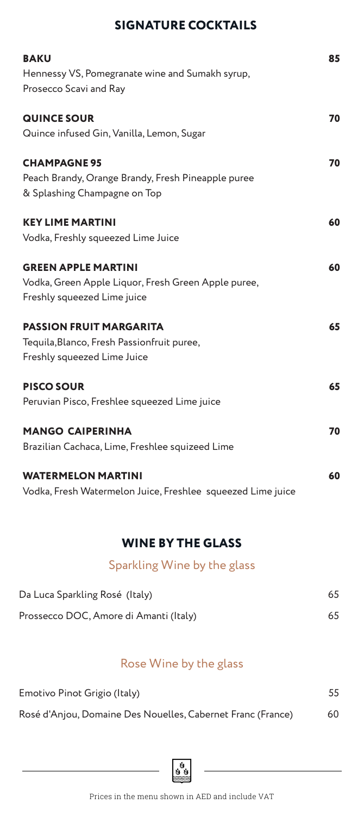## **SIGNATURE COCKTAILS**

| <b>BAKU</b><br>Hennessy VS, Pomegranate wine and Sumakh syrup,<br>Prosecco Scavi and Ray                         | 85 |
|------------------------------------------------------------------------------------------------------------------|----|
| <b>QUINCE SOUR</b><br>Quince infused Gin, Vanilla, Lemon, Sugar                                                  | 70 |
| <b>CHAMPAGNE 95</b><br>Peach Brandy, Orange Brandy, Fresh Pineapple puree<br>& Splashing Champagne on Top        | 70 |
| <b>KEY LIME MARTINI</b><br>Vodka, Freshly squeezed Lime Juice                                                    | 60 |
| <b>GREEN APPLE MARTINI</b><br>Vodka, Green Apple Liquor, Fresh Green Apple puree,<br>Freshly squeezed Lime juice | 60 |
| <b>PASSION FRUIT MARGARITA</b><br>Tequila, Blanco, Fresh Passionfruit puree,<br>Freshly squeezed Lime Juice      | 65 |
| <b>PISCO SOUR</b><br>Peruvian Pisco, Freshlee squeezed Lime juice                                                | 65 |
| <b>MANGO CAIPERINHA</b><br>Brazilian Cachaca, Lime, Freshlee squizeed Lime                                       | 70 |
| <b>WATERMELON MARTINI</b><br>Vodka, Fresh Watermelon Juice, Freshlee squeezed Lime juice                         | 60 |

# **WINE BY THE GLASS**

# Sparkling Wine by the glass

| Da Luca Sparkling Rosé (Italy)         | 65 |
|----------------------------------------|----|
| Prossecco DOC, Amore di Amanti (Italy) | 65 |

# Rose Wine by the glass

| Emotivo Pinot Grigio (Italy)                                | 55 |
|-------------------------------------------------------------|----|
| Rosé d'Anjou, Domaine Des Nouelles, Cabernet Franc (France) | 60 |

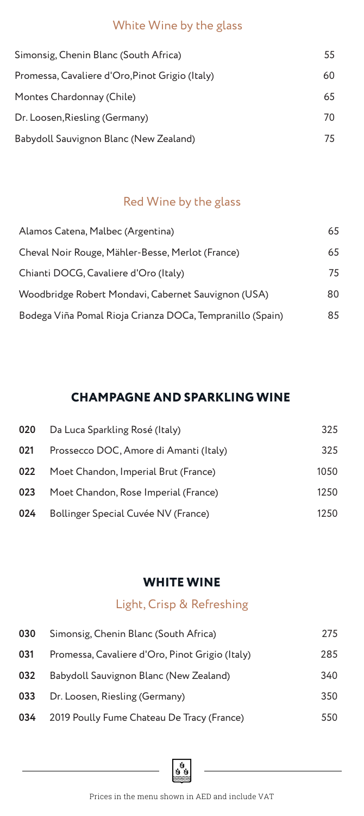### White Wine by the glass

| Simonsig, Chenin Blanc (South Africa)           | 55 |
|-------------------------------------------------|----|
| Promessa, Cavaliere d'Oro, Pinot Grigio (Italy) | 60 |
| Montes Chardonnay (Chile)                       | 65 |
| Dr. Loosen, Riesling (Germany)                  | 70 |
| Babydoll Sauvignon Blanc (New Zealand)          | 75 |

## Red Wine by the glass

| Alamos Catena, Malbec (Argentina)                         | 65 |
|-----------------------------------------------------------|----|
| Cheval Noir Rouge, Mähler-Besse, Merlot (France)          | 65 |
| Chianti DOCG, Cavaliere d'Oro (Italy)                     | 75 |
| Woodbridge Robert Mondavi, Cabernet Sauvignon (USA)       | 80 |
| Bodega Viña Pomal Rioja Crianza DOCa, Tempranillo (Spain) | 85 |

## **CHAMPAGNE AND SPARKLING WINE**

| 020 | Da Luca Sparkling Rosé (Italy)         | 325  |
|-----|----------------------------------------|------|
| 021 | Prossecco DOC, Amore di Amanti (Italy) | 325  |
| 022 | Moet Chandon, Imperial Brut (France)   | 1050 |
| 023 | Moet Chandon, Rose Imperial (France)   | 1250 |
| 024 | Bollinger Special Cuvée NV (France)    | 1250 |

## **WHITE WINE**

# Light, Crisp & Refreshing

| 030 | Simonsig, Chenin Blanc (South Africa)           | 275 |
|-----|-------------------------------------------------|-----|
| 031 | Promessa, Cavaliere d'Oro, Pinot Grigio (Italy) | 285 |
| 032 | Babydoll Sauvignon Blanc (New Zealand)          | 340 |
| 033 | Dr. Loosen, Riesling (Germany)                  | 350 |
| 034 | 2019 Poully Fume Chateau De Tracy (France)      | 550 |

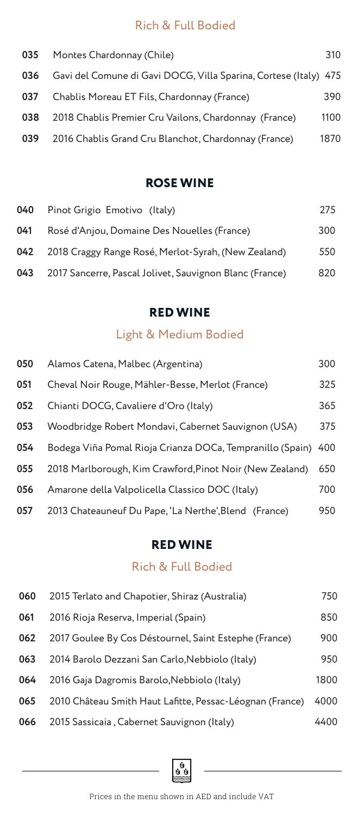## Rich & Full Bodied

| 035 | Montes Chardonnay (Chile)                                        | 310  |
|-----|------------------------------------------------------------------|------|
| 036 | Gavi del Comune di Gavi DOCG, Villa Sparina, Cortese (Italy) 475 |      |
| 037 | Chablis Moreau ET Fils, Chardonnay (France)                      | 390  |
| 038 | 2018 Chablis Premier Cru Vailons, Chardonnay (France)            | 1100 |
| 039 | 2016 Chablis Grand Cru Blanchot, Chardonnay (France)             | 1870 |

#### **ROSE WINE**

| 040 | Pinot Grigio Emotivo (Italy)                            | 275 |
|-----|---------------------------------------------------------|-----|
| 041 | Rosé d'Anjou, Domaine Des Nouelles (France)             | 300 |
| 042 | 2018 Craggy Range Rosé, Merlot-Syrah, (New Zealand)     | 550 |
| 043 | 2017 Sancerre, Pascal Jolivet, Sauvignon Blanc (France) | 820 |

#### **RED WINE**

# Light & Medium Bodied

| 050 | Alamos Catena, Malbec (Argentina)                         | 300 |
|-----|-----------------------------------------------------------|-----|
| 051 | Cheval Noir Rouge, Mähler-Besse, Merlot (France)          | 325 |
| 052 | Chianti DOCG, Cavaliere d'Oro (Italy)                     | 365 |
| 053 | Woodbridge Robert Mondavi, Cabernet Sauvignon (USA)       | 375 |
| 054 | Bodega Viña Pomal Rioja Crianza DOCa, Tempranillo (Spain) | 400 |
| 055 | 2018 Marlborough, Kim Crawford, Pinot Noir (New Zealand)  | 650 |
| 056 | Amarone della Valpolicella Classico DOC (Italy)           | 700 |
| 057 | 2013 Chateauneuf Du Pape, 'La Nerthe', Blend (France)     | 950 |

#### **RED WINE**

### Rich & Full Bodied

| 060 | 2015 Terlato and Chapotier, Shiraz (Australia)           | 750  |
|-----|----------------------------------------------------------|------|
| 061 | 2016 Rioja Reserva, Imperial (Spain)                     | 850  |
| 062 | 2017 Goulee By Cos Déstournel, Saint Estephe (France)    | 900  |
| 063 | 2014 Barolo Dezzani San Carlo, Nebbiolo (Italy)          | 950  |
| 064 | 2016 Gaja Dagromis Barolo, Nebbiolo (Italy)              | 1800 |
| 065 | 2010 Château Smith Haut Lafitte, Pessac-Léognan (France) | 4000 |
| 066 | 2015 Sassicaia, Cabernet Sauvignon (Italy)               | 4400 |

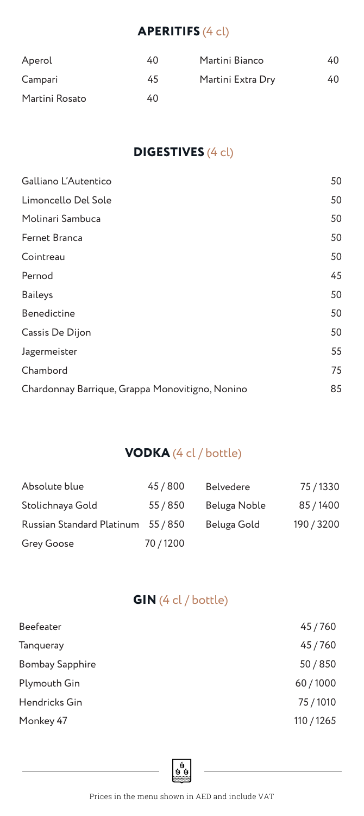# **APERITIFS** (4 cl)

| Aperol         | 40 | Martini Bianco    | 40 |
|----------------|----|-------------------|----|
| Campari        | 45 | Martini Extra Dry | 40 |
| Martini Rosato | 40 |                   |    |

## **DIGESTIVES** (4 cl)

| Galliano L'Autentico                            | 50 |
|-------------------------------------------------|----|
| Limoncello Del Sole                             | 50 |
| Molinari Sambuca                                | 50 |
| Fernet Branca                                   | 50 |
| Cointreau                                       | 50 |
| Pernod                                          | 45 |
| <b>Baileys</b>                                  | 50 |
| Benedictine                                     | 50 |
| Cassis De Dijon                                 | 50 |
| Jagermeister                                    | 55 |
| Chambord                                        | 75 |
| Chardonnay Barrique, Grappa Monovitigno, Nonino | 85 |
|                                                 |    |

### **VODKA** (4 cl / bottle)

| Absolute blue                      | 45/800   | <b>Belvedere</b> | 75/1330    |
|------------------------------------|----------|------------------|------------|
| Stolichnaya Gold                   | 55 / 850 | Beluga Noble     | 85/1400    |
| Russian Standard Platinum 55 / 850 |          | Beluga Gold      | 190 / 3200 |
| Grey Goose                         | 70/1200  |                  |            |

## **GIN** (4 cl / bottle)

| Beefeater              | 45/760     |
|------------------------|------------|
| <b>Tanqueray</b>       | 45/760     |
| <b>Bombay Sapphire</b> | 50/850     |
| Plymouth Gin           | 60/1000    |
| Hendricks Gin          | 75/1010    |
| Monkey 47              | 110 / 1265 |

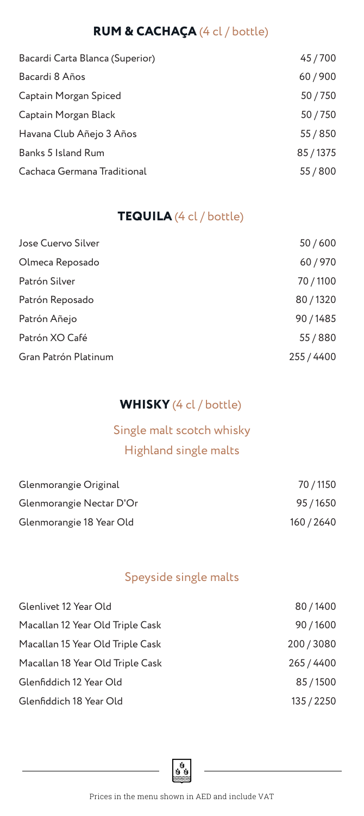# **RUM & CACHAÇA** (4 cl / bottle)

| Bacardi Carta Blanca (Superior) | 45/700   |
|---------------------------------|----------|
| Bacardi 8 Años                  | 60/900   |
| Captain Morgan Spiced           | 50/750   |
| Captain Morgan Black            | 50/750   |
| Havana Club Añejo 3 Años        | 55 / 850 |
| Banks 5 Island Rum              | 85/1375  |
| Cachaca Germana Traditional     | 55/800   |

## **TEQUILA** (4 cl / bottle)

| Jose Cuervo Silver   | 50/600     |
|----------------------|------------|
| Olmeca Reposado      | 60/970     |
| Patrón Silver        | 70/1100    |
| Patrón Reposado      | 80/1320    |
| Patrón Añejo         | 90/1485    |
| Patrón XO Café       | 55/880     |
| Gran Patrón Platinum | 255 / 4400 |

## **WHISKY** (4 cl / bottle)

# Single malt scotch whisky Highland single malts

| Glenmorangie Original    | 70 / 1150  |
|--------------------------|------------|
| Glenmorangie Nectar D'Or | 95/1650    |
| Glenmorangie 18 Year Old | 160 / 2640 |

## Speyside single malts

| Glenlivet 12 Year Old            | 80/1400    |
|----------------------------------|------------|
| Macallan 12 Year Old Triple Cask | 90/1600    |
| Macallan 15 Year Old Triple Cask | 200/3080   |
| Macallan 18 Year Old Triple Cask | 265 / 4400 |
| Glenfiddich 12 Year Old          | 85/1500    |
| Glenfiddich 18 Year Old          | 135 / 2250 |

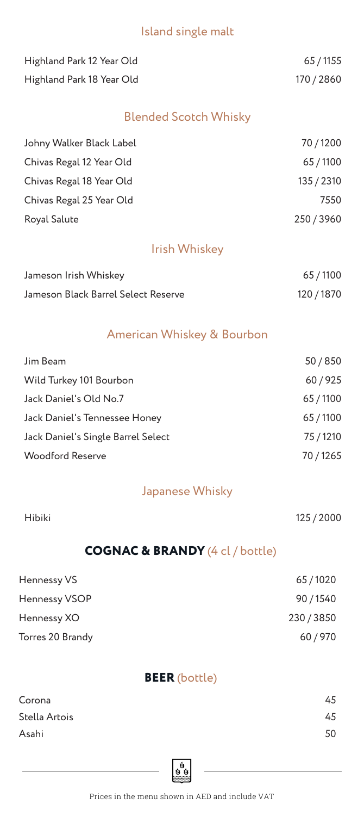### Island single malt

| Highland Park 12 Year Old | 65 / 1155  |
|---------------------------|------------|
| Highland Park 18 Year Old | 170 / 2860 |

# Blended Scotch Whisky

| Johny Walker Black Label | 70/1200    |
|--------------------------|------------|
| Chivas Regal 12 Year Old | 65/1100    |
| Chivas Regal 18 Year Old | 135 / 2310 |
| Chivas Regal 25 Year Old | 7550       |
| Royal Salute             | 250/3960   |

#### Irish Whiskey

| Jameson Irish Whiskey               | 65/1100    |
|-------------------------------------|------------|
| Jameson Black Barrel Select Reserve | 120 / 1870 |

#### American Whiskey & Bourbon

| Jim Beam                           | 50/850  |
|------------------------------------|---------|
| Wild Turkey 101 Bourbon            | 60/925  |
| Jack Daniel's Old No.7             | 65/1100 |
| Jack Daniel's Tennessee Honey      | 65/1100 |
| Jack Daniel's Single Barrel Select | 75/1210 |
| <b>Woodford Reserve</b>            | 70/1265 |

#### Japanese Whisky

| Hibiki | 125 / 2000 |
|--------|------------|
|        |            |

#### **COGNAC & BRANDY** (4 cl / bottle)

| Hennessy VS      | 65/1020  |
|------------------|----------|
| Hennessy VSOP    | 90/1540  |
| Hennessy XO      | 230/3850 |
| Torres 20 Brandy | 60/970   |

#### **BEER** (bottle)

| Corona        | 45 |
|---------------|----|
| Stella Artois | 45 |
| Asahi         | 50 |